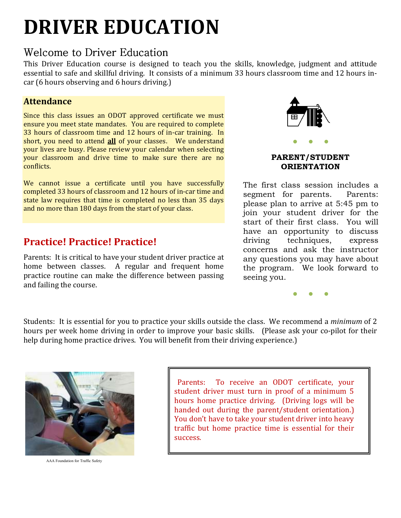# **DRIVER EDUCATION**

# Welcome to Driver Education

This Driver Education course is designed to teach you the skills, knowledge, judgment and attitude essential to safe and skillful driving. It consists of a minimum 33 hours classroom time and 12 hours incar (6 hours observing and 6 hours driving.)

#### **Attendance**

Since this class issues an ODOT approved certificate we must ensure you meet state mandates. You are required to complete 33 hours of classroom time and 12 hours of in-car training. In short, you need to attend **all** of your classes. We understand your lives are busy. Please review your calendar when selecting your classroom and drive time to make sure there are no conflicts.

We cannot issue a certificate until you have successfully completed 33 hours of classroom and 12 hours of in-car time and state law requires that time is completed no less than 35 days and no more than 180 days from the start of your class.

## **Practice! Practice! Practice!**

Parents: It is critical to have your student driver practice at home between classes. A regular and frequent home practice routine can make the difference between passing and failing the course.



#### **PARENT/STUDENT ORIENTATION**

The first class session includes a segment for parents. Parents: please plan to arrive at 5:45 pm to join your student driver for the start of their first class. You will have an opportunity to discuss driving techniques, express concerns and ask the instructor any questions you may have about the program. We look forward to seeing you.

● ● ●

Students: It is essential for you to practice your skills outside the class. We recommend a *minimum* of 2 hours per week home driving in order to improve your basic skills. (Please ask your co-pilot for their help during home practice drives. You will benefit from their driving experience.)



AAA Foundation for Traffic Safety

Parents: To receive an ODOT certificate, your student driver must turn in proof of a minimum 5 hours home practice driving. (Driving logs will be handed out during the parent/student orientation.) You don't have to take your student driver into heavy traffic but home practice time is essential for their success.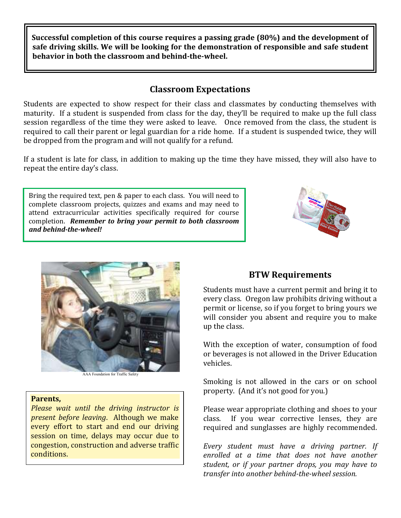**Successful completion of this course requires a passing grade (80%) and the development of safe driving skills. We will be looking for the demonstration of responsible and safe student behavior in both the classroom and behind-the-wheel.**

### **Classroom Expectations**

Students are expected to show respect for their class and classmates by conducting themselves with maturity. If a student is suspended from class for the day, they'll be required to make up the full class session regardless of the time they were asked to leave. Once removed from the class, the student is required to call their parent or legal guardian for a ride home. If a student is suspended twice, they will be dropped from the program and will not qualify for a refund.

If a student is late for class, in addition to making up the time they have missed, they will also have to repeat the entire day's class. 

Bring the required text, pen & paper to each class. You will need to complete classroom projects, quizzes and exams and may need to attend extracurricular activities specifically required for course completion. *Remember to bring your permit to both classroom and behind-the-wheel!* 





#### **Parents,**

*Please wait until the driving instructor is present before leaving*. Although we make every effort to start and end our driving session on time, delays may occur due to congestion, construction and adverse traffic conditions.

#### **BTW Requirements**

Students must have a current permit and bring it to every class. Oregon law prohibits driving without a permit or license, so if you forget to bring yours we will consider you absent and require you to make up the class.

With the exception of water, consumption of food or beverages is not allowed in the Driver Education vehicles.

Smoking is not allowed in the cars or on school property. (And it's not good for you.)

Please wear appropriate clothing and shoes to your class. If you wear corrective lenses, they are required and sunglasses are highly recommended.

*Every student must have a driving partner. If enrolled at a time that does not have another student, or if your partner drops, you may have to transfer into another behind-the-wheel session.*